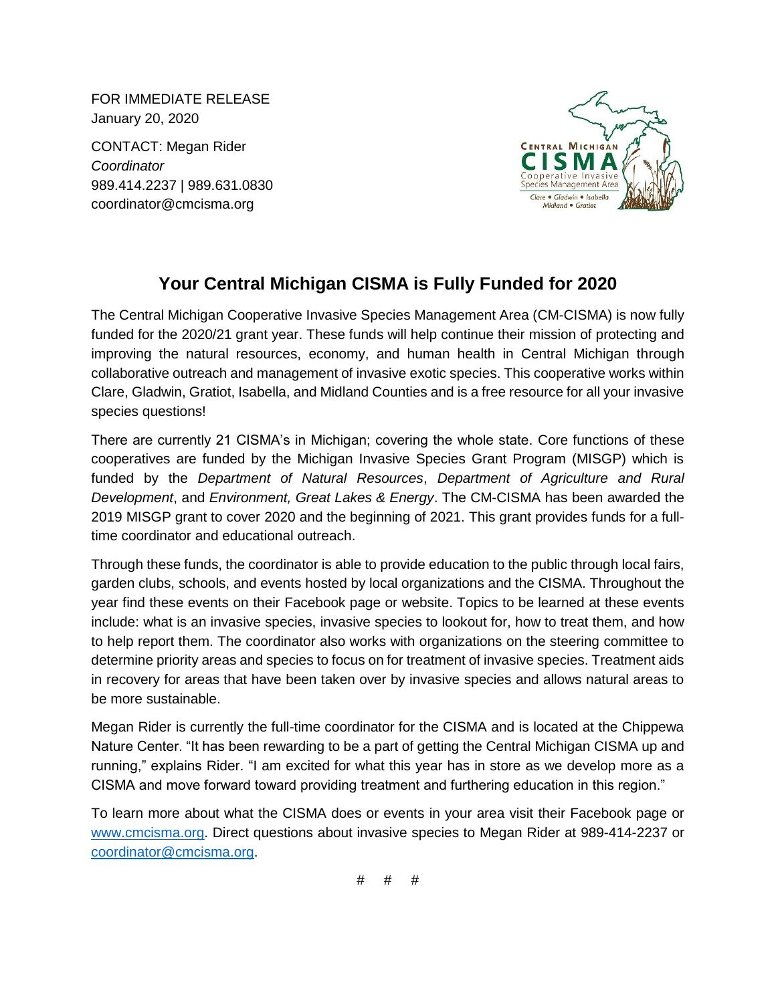FOR IMMEDIATE RELEASE January 20, 2020

CONTACT: Megan Rider *Coordinator* 989.414.2237 | 989.631.0830 coordinator@cmcisma.org



## **Your Central Michigan CISMA is Fully Funded for 2020**

The Central Michigan Cooperative Invasive Species Management Area (CM-CISMA) is now fully funded for the 2020/21 grant year. These funds will help continue their mission of protecting and improving the natural resources, economy, and human health in Central Michigan through collaborative outreach and management of invasive exotic species. This cooperative works within Clare, Gladwin, Gratiot, Isabella, and Midland Counties and is a free resource for all your invasive species questions!

There are currently 21 CISMA's in Michigan; covering the whole state. Core functions of these cooperatives are funded by the Michigan Invasive Species Grant Program (MISGP) which is funded by the *Department of Natural Resources*, *Department of Agriculture and Rural Development*, and *Environment, Great Lakes & Energy*. The CM-CISMA has been awarded the 2019 MISGP grant to cover 2020 and the beginning of 2021. This grant provides funds for a fulltime coordinator and educational outreach.

Through these funds, the coordinator is able to provide education to the public through local fairs, garden clubs, schools, and events hosted by local organizations and the CISMA. Throughout the year find these events on their Facebook page or website. Topics to be learned at these events include: what is an invasive species, invasive species to lookout for, how to treat them, and how to help report them. The coordinator also works with organizations on the steering committee to determine priority areas and species to focus on for treatment of invasive species. Treatment aids in recovery for areas that have been taken over by invasive species and allows natural areas to be more sustainable.

Megan Rider is currently the full-time coordinator for the CISMA and is located at the Chippewa Nature Center. "It has been rewarding to be a part of getting the Central Michigan CISMA up and running," explains Rider. "I am excited for what this year has in store as we develop more as a CISMA and move forward toward providing treatment and furthering education in this region."

To learn more about what the CISMA does or events in your area visit their Facebook page or [www.cmcisma.org.](http://www.cmcisma.org/) Direct questions about invasive species to Megan Rider at 989-414-2237 or [coordinator@cmcisma.org.](mailto:coordinator@cmcisma.org)

# # #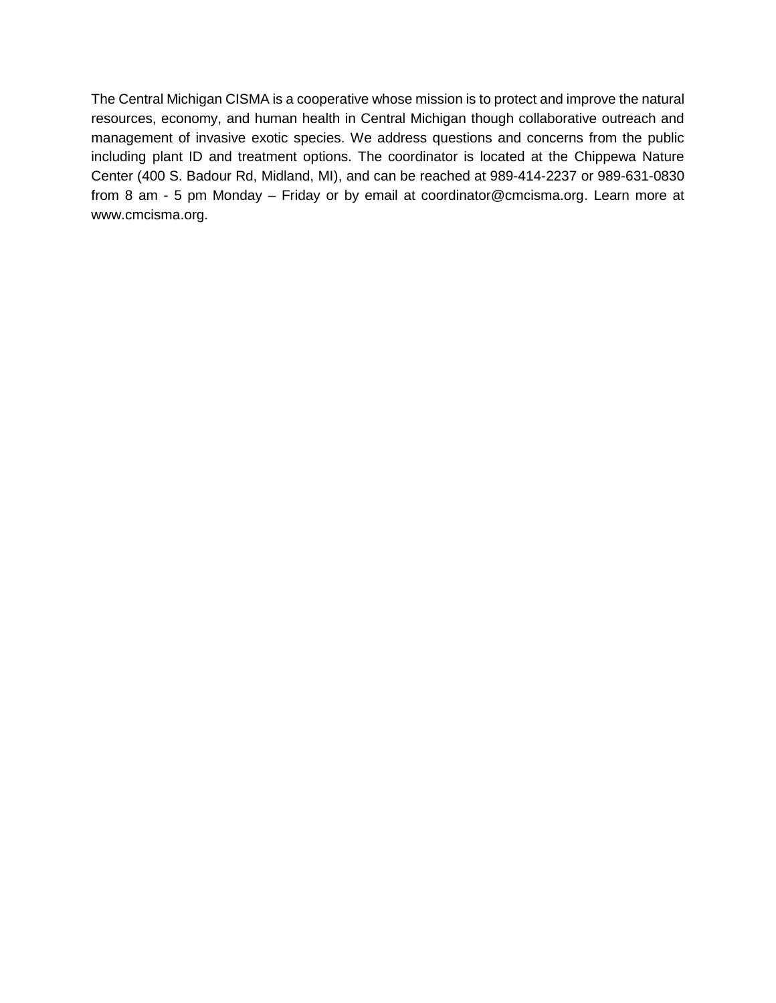The Central Michigan CISMA is a cooperative whose mission is to protect and improve the natural resources, economy, and human health in Central Michigan though collaborative outreach and management of invasive exotic species. We address questions and concerns from the public including plant ID and treatment options. The coordinator is located at the Chippewa Nature Center (400 S. Badour Rd, Midland, MI), and can be reached at 989-414-2237 or 989-631-0830 from 8 am - 5 pm Monday – Friday or by email at coordinator@cmcisma.org. Learn more at www.cmcisma.org.